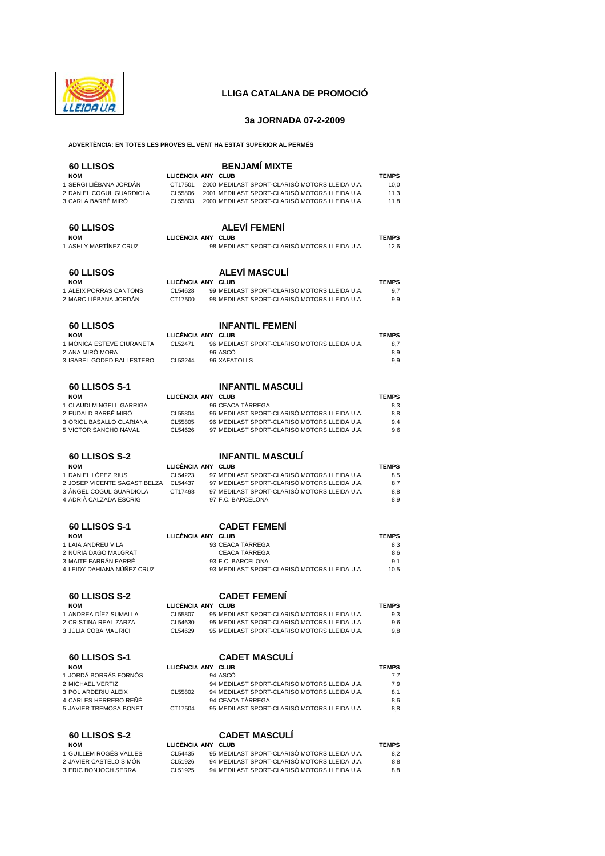

## **LLIGA CATALANA DE PROMOCIÓ**

### **3a JORNADA 07-2-2009**

#### **ADVERTÈNCIA: EN TOTES LES PROVES EL VENT HA ESTAT SUPERIOR AL PERMÉS**

# **60 LLISOS BENJAMÍ MIXTE NOM LLICÈNCIA ANY CLUB TEMPS**  1 SERGI LIÉBANA JORDÁN CT17501 2000 MEDILAST SPORT-CLARISÓ MOTORS LLEIDA U.A. 10,0<br>2 DANIEL COGI IL GUARDIOLA CLESSOS 2001 MEDILAST SPORT-CLARISÓ MOTORS LLEIDA U.A. 11.3 2 DANIEL COGUL GUARDIOLA CL55806 2001 MEDILAST SPORT-CLARISÓ MOTORS LLEIDA U.A. 11,3<br>3 CARI A BARBÉ MIRÓ CLEGADA 2000 MEDILAST SPORT-CLARISÓ MOTORS LLEIDA U.A. 118 CL55803 2000 MEDILAST SPORT-CLARISÓ MOTORS LLEIDA U.A. 11,8 **60 LLISOS ALEVÍ FEMENÍ NOM LLICÈNCIA ANY CLUB TEMPS**  98 MEDILAST SPORT-CLARISÓ MOTORS LLEIDA U.A. 12,6 **60 LLISOS ALEVÍ MASCULÍ NOM LLICÈNCIA ANY CLUB<br>1 ALEIX PORRAS CANTONS CLUB CLUB ANE DILAST SPORT-CLARISÓ MOTORS LLEIDA LLA 97** 99 MEDILAST SPORT-CLARISÓ MOTORS LLEIDA U.A. 2 MARC LIÉBANA JORDÁN CT17500 98 MEDILAST SPORT-CLARISÓ MOTORS LLEIDA U.A. 9,9 **60 LLISOS INFANTIL FEMENÍ NOM LLICÈNCIA ANY CLUB**<br>1 MÒNICA ESTEVE CUIRANETA CL52471 96 MEDILAST SPORT-CLARISÓ MOTORS LLEIDA LLA PRIZ 1 MÒNICA ESTEVE CIURANETA CL52471 96 MEDILAST SPORT-CLARISÓ MOTORS LLEIDA U.A. 8,7 2 ANA MIRÓ MORA 96 ASCÓ 8,9 3 ISABEL GODED BALLESTERO CL53244 96 XAFATOLLS 9,9 **60 LLISOS S 1 INFANTIL MASCULÍ 60 LLISOS S-1 NOM LEASE CRIME SERVICE ANY CLUB**<br>96 CEACA TÀRREGA **TRAISEA** 8,3 1 CLAUDI MINGELL GARRIGA 96 CEACA TÀRREGA 8,3 96 MEDILAST SPORT-CLARISÓ MOTORS LLEIDA U.A. 3 ORIOL BASALLO CLARIANA CL55805 96 MEDILAST SPORT-CLARISÓ MOTORS LLEIDA U.A. 9,4 5 VÍCTOR SANCHO NAVAL CL54626 97 MEDILAST SPORT-CLARISÓ MOTORS LLEIDA U.A. 9,6 **60 LLISOS S-2 INFANTIL MASCULÍ NOM LLICÈNCIA ANY CLUB TEMPS**  1 DANIEL LÓPEZ RIUS CL54223 97 MEDILAST SPORT-CLARISÓ MOTORS LLEIDA U.A. 8,5<br>2 JOSEP VICENTE SAGASTIBELZA CL54437 97 MEDILAST SPORT-CLARISÓ MOTORS LLEIDA U.A. 8,7 2 JOSEP VICENTE SAGASTIBELZA CL54437 97 MEDILAST SPORT-CLARISÓ MOTORS LLEIDA U.A. 8,7<br>3 ÀNGEL COGUL GUARDIOLA CT17498 97 MEDILAST SPORT-CLARISÓ MOTORS LLEIDA U.A. 8,8 97 MEDILAST SPORT-CLARISÓ MOTORS LLEIDA U.A. 8,8<br>97 F.C. BARCELONA 8,9 4 ADRIÀ CALZADA ESCRIG 97 F.C. BARCELONA 8,9 **60 LLISOS S-1 CADET FEMENÍ NOM LLICÈNCIA ANY CLUB TEMPS**  1 LAIA ANDREU VILA 93 CEACA TÀRREGA 8,3 2 NÚRIA DAGO MALGRAT CEACA TÀRREGA 8,6 3 MAITE FARRÁN FARRÉ 93 F.C. BARCELONA 9,1 4 LEIDY DAHIANA NÚÑEZ CRUZ 93 MEDILAST SPORT-CLARISÓ MOTORS LLEIDA U.A. 10,5 **60 LLISOS S-2 CADET FEMENÍ NOM LLICÈNCIA ANY CLUB TEMPS**  1 ANDREA DÍEZ SUMALLA CL55807 95 MEDILAST SPORT-CLARISÓ MOTORS LLEIDA U.A. 9,3 2 CRISTINA REAL ZARZA CL54630 95 MEDILAST SPORT-CLARISÓ MOTORS LLEIDA U.A. 9,6 95 MEDILAST SPORT-CLARISÓ MOTORS LLEIDA U.A. **60 LLISOS S-1 CADET MASCULÍ NOM LLICÈNCIA ANY CLUB TEMPS**  1 JORDÁ BORRÁS FORNÓS 94 ASCÓ 7,7 2 MICHAEL VERTIZ 94 MEDILAST SPORT-CLARISÓ MOTORS LLEIDA U.A. 7,9 3 POL ARDERIU ALEIX CL55802 94 MEDILAST SPORT-CLARISÓ MOTORS LLEIDA U.A. 8,1 4 CARLES HERRERO REÑÉ 94 CEACA TÀRREGA<br>5 JAVIER TREMOSA BONET CE 17504 95 MEDILAST SPORT-CLARISÓ MOTORS LLEIDA U.A. 88

| 60 LLISOS S-2         |    |
|-----------------------|----|
| <b>NOM</b>            | ш. |
| LGUILLEM ROGÉS VALLES |    |

- 2 JAVIER CASTELO SIMÓN
- 3 ERIC BONJOCH SERRA
- 

#### *CADET MASCULÍ* **ICÈNCIA ANY CLUB TEMPS**

| 95 MEDILAST SPORT-CLARISÓ MOTORS LLEIDA U.A.<br>1 GUILLEM ROGÉS VALLES<br>CI 54435<br>2 JAVIER CASTELO SIMÓN<br>94 MEDILAST SPORT-CLARISÓ MOTORS LLEIDA U.A. |     |
|--------------------------------------------------------------------------------------------------------------------------------------------------------------|-----|
|                                                                                                                                                              |     |
| CL51926                                                                                                                                                      | 8.8 |
| 94 MEDILAST SPORT-CLARISÓ MOTORS LLEIDA U.A.<br>3 ERIC BONJOCH SERRA<br>CL51925                                                                              | 8.8 |

95 MEDILAST SPORT-CLARISÓ MOTORS LLEIDA U.A.  $8.8$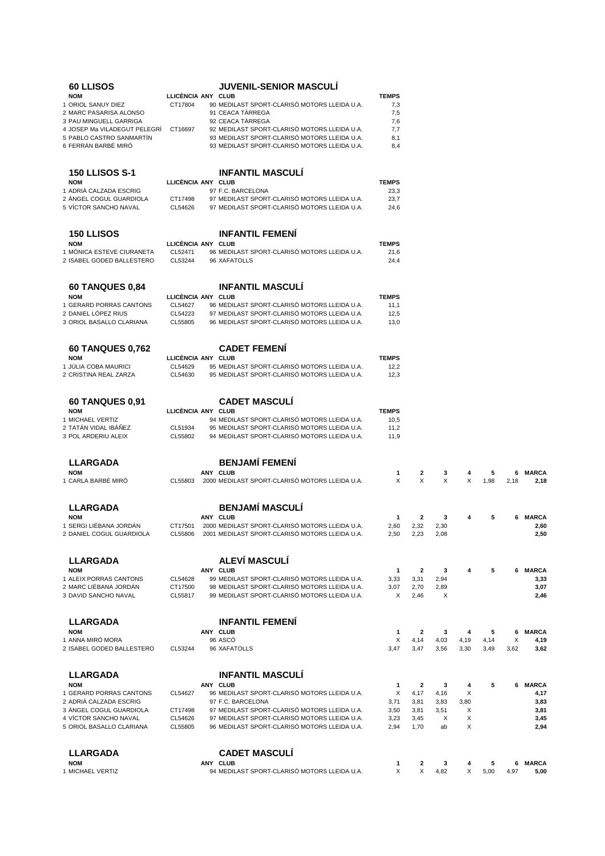| <b>60 LLISOS</b>                                       |                    | <b>JUVENIL-SENIOR MASCULI</b>                                                                |              |                   |              |              |              |           |                      |
|--------------------------------------------------------|--------------------|----------------------------------------------------------------------------------------------|--------------|-------------------|--------------|--------------|--------------|-----------|----------------------|
| <b>NOM</b>                                             | LLICÈNCIA ANY CLUB |                                                                                              | <b>TEMPS</b> |                   |              |              |              |           |                      |
| 1 ORIOL SANUY DIEZ                                     | CT17804            | 90 MEDILAST SPORT-CLARISÓ MOTORS LLEIDA U.A.                                                 | 7,3          |                   |              |              |              |           |                      |
| 2 MARC PASARISA ALONSO                                 |                    | 91 CEACA TARREGA                                                                             | 7,5          |                   |              |              |              |           |                      |
| 3 PAU MINGUELL GARRIGA                                 | CT16697            | 92 CEACA TÀRREGA<br>92 MEDILAST SPORT-CLARISÓ MOTORS LLEIDA U.A.                             | 7,6          |                   |              |              |              |           |                      |
| 4 JOSEP Ma VILADEGUT PELEGRI                           |                    | 93 MEDILAST SPORT-CLARISÓ MOTORS LLEIDA U.A.                                                 | 7,7          |                   |              |              |              |           |                      |
| 5 PABLO CASTRO SANMARTIN<br>6 FERRÁN BARBÉ MIRÓ        |                    | 93 MEDILAST SPORT-CLARISÓ MOTORS LLEIDA U.A.                                                 | 8,1<br>8,4   |                   |              |              |              |           |                      |
|                                                        |                    |                                                                                              |              |                   |              |              |              |           |                      |
| <b>150 LLISOS S-1</b>                                  |                    | <b>INFANTIL MASCULI</b>                                                                      |              |                   |              |              |              |           |                      |
| <b>NOM</b>                                             | LLICÈNCIA ANY CLUB |                                                                                              | <b>TEMPS</b> |                   |              |              |              |           |                      |
| 1 ADRIA CALZADA ESCRIG                                 |                    | 97 F.C. BARCELONA                                                                            | 23,3         |                   |              |              |              |           |                      |
| 2 ÀNGEL COGUL GUARDIOLA<br>5 VÍCTOR SANCHO NAVAL       | CT17498<br>CL54626 | 97 MEDILAST SPORT-CLARISÓ MOTORS LLEIDA U.A.<br>97 MEDILAST SPORT-CLARISÓ MOTORS LLEIDA U.A. | 23,7<br>24,6 |                   |              |              |              |           |                      |
|                                                        |                    |                                                                                              |              |                   |              |              |              |           |                      |
| <b>150 LLISOS</b>                                      |                    | <b>INFANTIL FEMENI</b>                                                                       |              |                   |              |              |              |           |                      |
| <b>NOM</b>                                             | LLICENCIA ANY CLUB |                                                                                              | <b>TEMPS</b> |                   |              |              |              |           |                      |
| 1 MÓNICA ESTEVE CIURANETA<br>2 ISABEL GODED BALLESTERO | CL52471<br>CL53244 | 96 MEDILAST SPORT-CLARISÓ MOTORS LLEIDA U.A.<br>96 XAFATOLLS                                 | 21,6<br>24,4 |                   |              |              |              |           |                      |
|                                                        |                    |                                                                                              |              |                   |              |              |              |           |                      |
| <b>60 TANQUES 0,84</b>                                 |                    | <b>INFANTIL MASCULI</b>                                                                      |              |                   |              |              |              |           |                      |
| <b>NOM</b>                                             | LLICÈNCIA ANY CLUB |                                                                                              | <b>TEMPS</b> |                   |              |              |              |           |                      |
| 1 GERARD PORRAS CANTONS                                | CL54627            | 96 MEDILAST SPORT-CLARISÓ MOTORS LLEIDA U.A.                                                 | 11,1         |                   |              |              |              |           |                      |
| 2 DANIEL LÓPEZ RIUS                                    | CL54223            | 97 MEDILAST SPORT-CLARISÓ MOTORS LLEIDA U.A.                                                 | 12,5         |                   |              |              |              |           |                      |
| 3 ORIOL BASALLO CLARIANA                               | CL55805            | 96 MEDILAST SPORT-CLARISÓ MOTORS LLEIDA U.A.                                                 | 13,0         |                   |              |              |              |           |                      |
| <b>60 TANQUES 0,762</b>                                |                    | <b>CADET FEMENI</b>                                                                          |              |                   |              |              |              |           |                      |
| <b>NOM</b>                                             | LLICÉNCIA ANY CLUB |                                                                                              | <b>TEMPS</b> |                   |              |              |              |           |                      |
| 1 JULIA COBA MAURICI                                   | CL54629            | 95 MEDILAST SPORT-CLARISÓ MOTORS LLEIDA U.A.                                                 | 12,2         |                   |              |              |              |           |                      |
| 2 CRISTINA REAL ZARZA                                  | CL54630            | 95 MEDILAST SPORT-CLARISÓ MOTORS LLEIDA U.A.                                                 | 12,3         |                   |              |              |              |           |                      |
| <b>60 TANQUES 0,91</b>                                 |                    | <b>CADET MASCULI</b>                                                                         |              |                   |              |              |              |           |                      |
| <b>NOM</b>                                             | LLICÈNCIA ANY CLUB |                                                                                              | <b>TEMPS</b> |                   |              |              |              |           |                      |
| 1 MICHAEL VERTIZ                                       |                    | 94 MEDILAST SPORT-CLARISÓ MOTORS LLEIDA U.A.                                                 | 10,5         |                   |              |              |              |           |                      |
| 2 TATÁN VIDAL IBÁÑEZ                                   | CL51934            | 95 MEDILAST SPORT-CLARISÓ MOTORS LLEIDA U.A.                                                 | 11,2         |                   |              |              |              |           |                      |
| 3 POL ARDERIU ALEIX                                    | CL55802            | 94 MEDILAST SPORT-CLARISÓ MOTORS LLEIDA U.A.                                                 | 11,9         |                   |              |              |              |           |                      |
|                                                        |                    | <b>BENJAMÍ FEMENÍ</b>                                                                        |              |                   |              |              |              |           |                      |
| <b>LLARGADA</b>                                        |                    | ANY CLUB                                                                                     |              |                   |              |              |              |           | <b>MARCA</b>         |
| <b>NOM</b><br>1 CARLA BARBÉ MIRO                       | CL55803            | 2000 MEDILAST SPORT-CLARISÓ MOTORS LLEIDA U.A.                                               | 1<br>X       | $\mathbf{2}$<br>X | 3<br>X       | 4<br>Х       | 5<br>1,98    | 6<br>2,18 | 2,18                 |
|                                                        |                    |                                                                                              |              |                   |              |              |              |           |                      |
| LLARGADA                                               |                    | <b>BENJAMÍ MASCULÍ</b>                                                                       |              |                   |              |              |              |           |                      |
| <b>NOM</b>                                             |                    | ANY CLUB                                                                                     | 1            | 2                 | з            | 4            | 5            | 6         | <b>MARCA</b>         |
| 1 SERGI LIÉBANA JORDAN                                 | CT17501            | 2000 MEDILAST SPORT-CLARISÓ MOTORS LLEIDA U.A                                                | 2,60         | 2,32              | 2,30         |              |              |           | 2,60                 |
| 2 DANIEL COGUL GUARDIOLA                               | CL55806            | 2001 MEDILAST SPORT-CLARISÓ MOTORS LLEIDA U.A.                                               | 2,50         | 2,23              | 2,08         |              |              |           | 2,50                 |
| <b>LLARGADA</b>                                        |                    | ALEVÍ MASCULÍ                                                                                |              |                   |              |              |              |           |                      |
| <b>NOM</b>                                             |                    | ANY CLUB                                                                                     | $\mathbf{1}$ | 2                 | $_{3}$       | 4            | 5            | 6         | <b>MARCA</b>         |
| 1 ALEIX PORRAS CANTONS                                 | CL54628            | 99 MEDILAST SPORT-CLARISÓ MOTORS LLEIDA U.A.                                                 | 3,33         | 3,31              | 2,94         |              |              |           | 3,33                 |
| 2 MARC LIÉBANA JORDÁN<br>3 DAVID SANCHO NAVAL          | CT17500<br>CL55817 | 98 MEDILAST SPORT-CLARISÓ MOTORS LLEIDA U.A.<br>99 MEDILAST SPORT-CLARISÓ MOTORS LLEIDA U.A. | 3,07<br>Χ    | 2,70<br>2,46      | 2,89<br>X    |              |              |           | 3,07<br>2,46         |
|                                                        |                    |                                                                                              |              |                   |              |              |              |           |                      |
| <b>LLARGADA</b>                                        |                    | <b>INFANTIL FEMENI</b>                                                                       |              |                   |              |              |              |           |                      |
| <b>NOM</b>                                             |                    | ANY CLUB                                                                                     | 1            | 2                 | 3            | 4            | 5            | 6         | <b>MARCA</b>         |
| 1 ANNA MIRÓ MORA<br>2 ISABEL GODED BALLESTERO          | CL53244            | 96 ASCÓ<br>96 XAFATOLLS                                                                      | X<br>3,47    | 4,14<br>3,47      | 4,03<br>3,56 | 4,19<br>3,30 | 4,14<br>3,49 | Х<br>3,62 | 4,19<br>3,62         |
|                                                        |                    |                                                                                              |              |                   |              |              |              |           |                      |
| <b>LLARGADA</b>                                        |                    | <b>INFANTIL MASCULI</b>                                                                      |              |                   |              |              |              |           |                      |
| <b>NOM</b><br>1 GERARD PORRAS CANTONS                  | CL54627            | ANY CLUB<br>96 MEDILAST SPORT-CLARISÓ MOTORS LLEIDA U.A.                                     | 1<br>X       | 2<br>4,17         | 3<br>4,16    | 4<br>X       | 5            | 6.        | <b>MARCA</b><br>4,17 |
| 2 ADRIÀ CALZADA ESCRIG                                 |                    | 97 F.C. BARCELONA                                                                            | 3,71         | 3,81              | 3,83         | 3,80         |              |           | 3,83                 |
| 3 ANGEL COGUL GUARDIOLA                                | CT17498            | 97 MEDILAST SPORT-CLARISÓ MOTORS LLEIDA U.A.                                                 | 3,50         | 3,81              | 3,51         | X            |              |           | 3,81                 |
| 4 VICTOR SANCHO NAVAL                                  | CL54626            | 97 MEDILAST SPORT-CLARISÓ MOTORS LLEIDA U.A.                                                 | 3,23         | 3,45              | X            | Х            |              |           | 3,45                 |
| 5 ORIOL BASALLO CLARIANA                               | CL55805            | 96 MEDILAST SPORT-CLARISÓ MOTORS LLEIDA U.A.                                                 | 2,94         | 1,70              | ab           | X            |              |           | 2,94                 |
| <b>LLARGADA</b>                                        |                    | <b>CADET MASCULÍ</b>                                                                         |              |                   |              |              |              |           |                      |
| <b>NOM</b>                                             |                    | ANY CLUB                                                                                     | 1            | 2                 | 3            | 4            | 5            | 6         | <b>MARCA</b>         |
| 1 MICHAEL VERTIZ                                       |                    | 94 MEDILAST SPORT-CLARISÓ MOTORS LLEIDA U.A.                                                 | X            | X                 | 4,82         | X            | 5,00         | 4,97      | 5,00                 |
|                                                        |                    |                                                                                              |              |                   |              |              |              |           |                      |